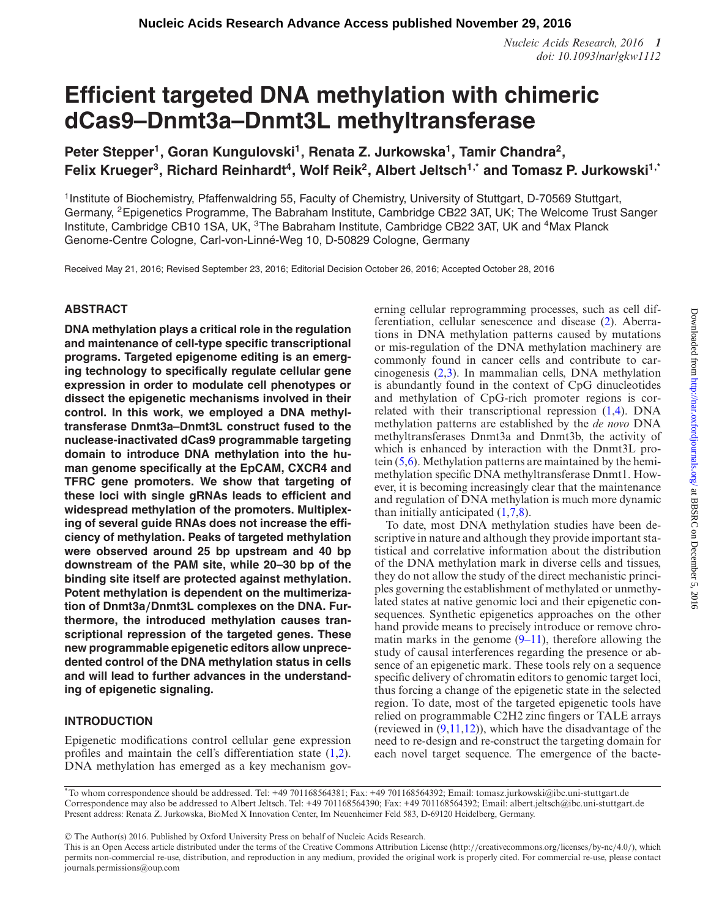*Nucleic Acids Research, 2016 1 doi: 10.1093/nar/gkw1112*

# **Efficient targeted DNA methylation with chimeric dCas9–Dnmt3a–Dnmt3L methyltransferase**

Peter Stepper<sup>1</sup>, Goran Kungulovski<sup>1</sup>, Renata Z. Jurkowska<sup>1</sup>, Tamir Chandra<sup>2</sup>, Felix Krueger<sup>3</sup>, Richard Reinhardt<sup>4</sup>, Wolf Reik<sup>2</sup>, Albert Jeltsch<sup>1,\*</sup> and Tomasz P. Jurkowski<sup>1,\*</sup>

<sup>1</sup> Institute of Biochemistry, Pfaffenwaldring 55, Faculty of Chemistry, University of Stuttgart, D-70569 Stuttgart, Germany, 2Epigenetics Programme, The Babraham Institute, Cambridge CB22 3AT, UK; The Welcome Trust Sanger Institute, Cambridge CB10 1SA, UK, 3The Babraham Institute, Cambridge CB22 3AT, UK and 4Max Planck Genome-Centre Cologne, Carl-von-Linné-Weg 10, D-50829 Cologne, Germany

Received May 21, 2016; Revised September 23, 2016; Editorial Decision October 26, 2016; Accepted October 28, 2016

# **ABSTRACT**

**DNA methylation plays a critical role in the regulation and maintenance of cell-type specific transcriptional programs. Targeted epigenome editing is an emerging technology to specifically regulate cellular gene expression in order to modulate cell phenotypes or dissect the epigenetic mechanisms involved in their control. In this work, we employed a DNA methyltransferase Dnmt3a–Dnmt3L construct fused to the nuclease-inactivated dCas9 programmable targeting domain to introduce DNA methylation into the human genome specifically at the EpCAM, CXCR4 and TFRC gene promoters. We show that targeting of these loci with single gRNAs leads to efficient and widespread methylation of the promoters. Multiplexing of several guide RNAs does not increase the efficiency of methylation. Peaks of targeted methylation were observed around 25 bp upstream and 40 bp downstream of the PAM site, while 20–30 bp of the binding site itself are protected against methylation. Potent methylation is dependent on the multimerization of Dnmt3a***/***Dnmt3L complexes on the DNA. Furthermore, the introduced methylation causes transcriptional repression of the targeted genes. These new programmable epigenetic editors allow unprecedented control of the DNA methylation status in cells and will lead to further advances in the understanding of epigenetic signaling.**

# **INTRODUCTION**

Epigenetic modifications control cellular gene expression profiles and maintain the cell's differentiation state [\(1,2\)](#page-9-0). DNA methylation has emerged as a key mechanism governing cellular reprogramming processes, such as cell differentiation, cellular senescence and disease [\(2\)](#page-9-0). Aberrations in DNA methylation patterns caused by mutations or mis-regulation of the DNA methylation machinery are commonly found in cancer cells and contribute to carcinogenesis [\(2,3\)](#page-9-0). In mammalian cells, DNA methylation is abundantly found in the context of CpG dinucleotides and methylation of CpG-rich promoter regions is correlated with their transcriptional repression [\(1,4\)](#page-9-0). DNA methylation patterns are established by the *de novo* DNA methyltransferases Dnmt3a and Dnmt3b, the activity of which is enhanced by interaction with the Dnmt3L protein [\(5,6\)](#page-9-0). Methylation patterns are maintained by the hemimethylation specific DNA methyltransferase Dnmt1. However, it is becoming increasingly clear that the maintenance and regulation of DNA methylation is much more dynamic than initially anticipated  $(1,7,8)$ .

To date, most DNA methylation studies have been descriptive in nature and although they provide important statistical and correlative information about the distribution of the DNA methylation mark in diverse cells and tissues, they do not allow the study of the direct mechanistic principles governing the establishment of methylated or unmethylated states at native genomic loci and their epigenetic consequences. Synthetic epigenetics approaches on the other hand provide means to precisely introduce or remove chromatin marks in the genome  $(9-11)$ , therefore allowing the study of causal interferences regarding the presence or absence of an epigenetic mark. These tools rely on a sequence specific delivery of chromatin editors to genomic target loci, thus forcing a change of the epigenetic state in the selected region. To date, most of the targeted epigenetic tools have relied on programmable C2H2 zinc fingers or TALE arrays (reviewed in  $(9,11,12)$ ), which have the disadvantage of the need to re-design and re-construct the targeting domain for each novel target sequence. The emergence of the bacte-

-<sup>C</sup> The Author(s) 2016. Published by Oxford University Press on behalf of Nucleic Acids Research.

<sup>\*</sup>To whom correspondence should be addressed. Tel: +49 701168564381; Fax: +49 701168564392; Email: tomasz.jurkowski@ibc.uni-stuttgart.de Correspondence may also be addressed to Albert Jeltsch. Tel: +49 701168564390; Fax: +49 701168564392; Email: albert.jeltsch@ibc.uni-stuttgart.de Present address: Renata Z. Jurkowska, BioMed X Innovation Center, Im Neuenheimer Feld 583, D-69120 Heidelberg, Germany.

This is an Open Access article distributed under the terms of the Creative Commons Attribution License (http://creativecommons.org/licenses/by-nc/4.0/), which permits non-commercial re-use, distribution, and reproduction in any medium, provided the original work is properly cited. For commercial re-use, please contact journals.permissions@oup.com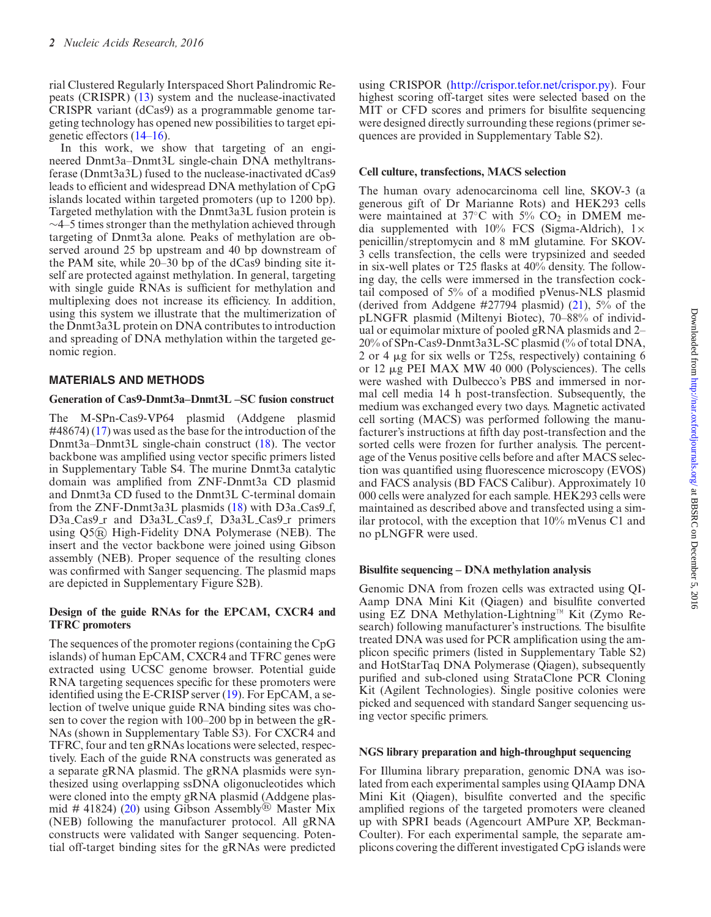rial Clustered Regularly Interspaced Short Palindromic Repeats (CRISPR) [\(13\)](#page-10-0) system and the nuclease-inactivated CRISPR variant (dCas9) as a programmable genome targeting technology has opened new possibilities to target epigenetic effectors [\(14–16\)](#page-10-0).

In this work, we show that targeting of an engineered Dnmt3a–Dnmt3L single-chain DNA methyltransferase (Dnmt3a3L) fused to the nuclease-inactivated dCas9 leads to efficient and widespread DNA methylation of CpG islands located within targeted promoters (up to 1200 bp). Targeted methylation with the Dnmt3a3L fusion protein is ∼4–5 times stronger than the methylation achieved through targeting of Dnmt3a alone. Peaks of methylation are observed around 25 bp upstream and 40 bp downstream of the PAM site, while 20–30 bp of the dCas9 binding site itself are protected against methylation. In general, targeting with single guide RNAs is sufficient for methylation and multiplexing does not increase its efficiency. In addition, using this system we illustrate that the multimerization of the Dnmt3a3L protein on DNA contributes to introduction and spreading of DNA methylation within the targeted genomic region.

# **MATERIALS AND METHODS**

#### **Generation of Cas9-Dnmt3a–Dnmt3L –SC fusion construct**

The M-SPn-Cas9-VP64 plasmid (Addgene plasmid #48674) [\(17\)](#page-10-0) was used as the base for the introduction of the Dnmt3a–Dnmt3L single-chain construct [\(18\)](#page-10-0). The vector backbone was amplified using vector specific primers listed in Supplementary Table S4. The murine Dnmt3a catalytic domain was amplified from ZNF-Dnmt3a CD plasmid and Dnmt3a CD fused to the Dnmt3L C-terminal domain from the ZNF-Dnmt3a3L plasmids [\(18\)](#page-10-0) with D3a Cas9 f, D3a\_Cas9\_r and D3a3L\_Cas9\_f, D3a3L\_Cas9\_r primers using  $Q5(\widehat{R})$  High-Fidelity DNA Polymerase (NEB). The insert and the vector backbone were joined using Gibson assembly (NEB). Proper sequence of the resulting clones was confirmed with Sanger sequencing. The plasmid maps are depicted in Supplementary Figure S2B).

#### **Design of the guide RNAs for the EPCAM, CXCR4 and TFRC promoters**

The sequences of the promoter regions (containing the CpG islands) of human EpCAM, CXCR4 and TFRC genes were extracted using UCSC genome browser. Potential guide RNA targeting sequences specific for these promoters were identified using the E-CRISP server [\(19\)](#page-10-0). For EpCAM, a selection of twelve unique guide RNA binding sites was chosen to cover the region with 100–200 bp in between the gR-NAs (shown in Supplementary Table S3). For CXCR4 and TFRC, four and ten gRNAs locations were selected, respectively. Each of the guide RNA constructs was generated as a separate gRNA plasmid. The gRNA plasmids were synthesized using overlapping ssDNA oligonucleotides which were cloned into the empty gRNA plasmid (Addgene plas-mid # 41824) [\(20\)](#page-10-0) using Gibson Assembly<sup>®</sup> Master Mix (NEB) following the manufacturer protocol. All gRNA constructs were validated with Sanger sequencing. Potential off-target binding sites for the gRNAs were predicted using CRISPOR [\(http://crispor.tefor.net/crispor.py\)](http://crispor.tefor.net/crispor.py). Four highest scoring off-target sites were selected based on the MIT or CFD scores and primers for bisulfite sequencing were designed directly surrounding these regions (primer sequences are provided in Supplementary Table S2).

#### **Cell culture, transfections, MACS selection**

The human ovary adenocarcinoma cell line, SKOV-3 (a generous gift of Dr Marianne Rots) and HEK293 cells were maintained at  $37^{\circ}$ C with  $5\%$  CO<sub>2</sub> in DMEM media supplemented with  $10\%$  FCS (Sigma-Aldrich),  $1 \times$ penicillin/streptomycin and 8 mM glutamine. For SKOV-3 cells transfection, the cells were trypsinized and seeded in six-well plates or T25 flasks at 40% density. The following day, the cells were immersed in the transfection cocktail composed of 5% of a modified pVenus-NLS plasmid (derived from Addgene  $\#27794$  plasmid)  $(21)$ , 5% of the pLNGFR plasmid (Miltenyi Biotec), 70–88% of individual or equimolar mixture of pooled gRNA plasmids and 2– 20% of SPn-Cas9-Dnmt3a3L-SC plasmid (% of total DNA, 2 or 4  $\mu$ g for six wells or T25s, respectively) containing 6 or 12 µg PEI MAX MW 40 000 (Polysciences). The cells were washed with Dulbecco's PBS and immersed in normal cell media 14 h post-transfection. Subsequently, the medium was exchanged every two days. Magnetic activated cell sorting (MACS) was performed following the manufacturer's instructions at fifth day post-transfection and the sorted cells were frozen for further analysis. The percentage of the Venus positive cells before and after MACS selection was quantified using fluorescence microscopy (EVOS) and FACS analysis (BD FACS Calibur). Approximately 10 000 cells were analyzed for each sample. HEK293 cells were maintained as described above and transfected using a similar protocol, with the exception that 10% mVenus C1 and no pLNGFR were used.

#### **Bisulfite sequencing – DNA methylation analysis**

Genomic DNA from frozen cells was extracted using QI-Aamp DNA Mini Kit (Qiagen) and bisulfite converted using EZ DNA Methylation-Lightning™ Kit (Zymo Research) following manufacturer's instructions. The bisulfite treated DNA was used for PCR amplification using the amplicon specific primers (listed in Supplementary Table S2) and HotStarTaq DNA Polymerase (Qiagen), subsequently purified and sub-cloned using StrataClone PCR Cloning Kit (Agilent Technologies). Single positive colonies were picked and sequenced with standard Sanger sequencing using vector specific primers.

#### **NGS library preparation and high-throughput sequencing**

For Illumina library preparation, genomic DNA was isolated from each experimental samples using QIAamp DNA Mini Kit (Qiagen), bisulfite converted and the specific amplified regions of the targeted promoters were cleaned up with SPRI beads (Agencourt AMPure XP, Beckman-Coulter). For each experimental sample, the separate amplicons covering the different investigated CpG islands were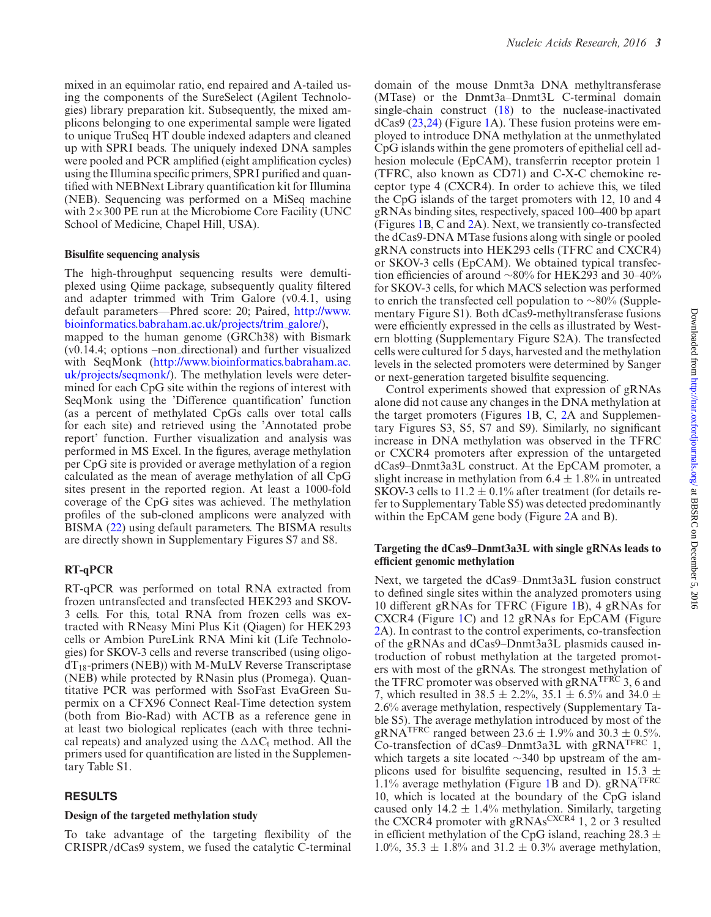mixed in an equimolar ratio, end repaired and A-tailed using the components of the SureSelect (Agilent Technologies) library preparation kit. Subsequently, the mixed amplicons belonging to one experimental sample were ligated to unique TruSeq HT double indexed adapters and cleaned up with SPRI beads. The uniquely indexed DNA samples were pooled and PCR amplified (eight amplification cycles) using the Illumina specific primers, SPRI purified and quantified with NEBNext Library quantification kit for Illumina (NEB). Sequencing was performed on a MiSeq machine with  $2\times300$  PE run at the Microbiome Core Facility (UNC School of Medicine, Chapel Hill, USA).

#### **Bisulfite sequencing analysis**

The high-throughput sequencing results were demultiplexed using Qiime package, subsequently quality filtered and adapter trimmed with Trim Galore (v0.4.1, using [default parameters––Phred score: 20; Paired,](http://www.bioinformatics.babraham.ac.uk/projects/trim_galore/) http://www. bioinformatics.babraham.ac.uk/projects/trim galore/), mapped to the human genome (GRCh38) with Bismark

(v0.14.4; options –non directional) and further visualized with SeqMonk (http://www.bioinformatics.babraham.ac. [uk/projects/seqmonk/\). The methylation levels were deter](http://www.bioinformatics.babraham.ac.uk/projects/seqmonk/)mined for each CpG site within the regions of interest with SeqMonk using the 'Difference quantification' function (as a percent of methylated CpGs calls over total calls for each site) and retrieved using the 'Annotated probe report' function. Further visualization and analysis was performed in MS Excel. In the figures, average methylation per CpG site is provided or average methylation of a region calculated as the mean of average methylation of all CpG sites present in the reported region. At least a 1000-fold coverage of the CpG sites was achieved. The methylation profiles of the sub-cloned amplicons were analyzed with BISMA [\(22\)](#page-10-0) using default parameters. The BISMA results are directly shown in Supplementary Figures S7 and S8.

# **RT-qPCR**

RT-qPCR was performed on total RNA extracted from frozen untransfected and transfected HEK293 and SKOV-3 cells. For this, total RNA from frozen cells was extracted with RNeasy Mini Plus Kit (Qiagen) for HEK293 cells or Ambion PureLink RNA Mini kit (Life Technologies) for SKOV-3 cells and reverse transcribed (using oligo $dT_{18}$ -primers (NEB)) with M-MuLV Reverse Transcriptase (NEB) while protected by RNasin plus (Promega). Quantitative PCR was performed with SsoFast EvaGreen Supermix on a CFX96 Connect Real-Time detection system (both from Bio-Rad) with ACTB as a reference gene in at least two biological replicates (each with three technical repeats) and analyzed using the  $\Delta \Delta C_t$  method. All the primers used for quantification are listed in the Supplementary Table S1.

# **RESULTS**

# **Design of the targeted methylation study**

To take advantage of the targeting flexibility of the CRISPR/dCas9 system, we fused the catalytic C-terminal domain of the mouse Dnmt3a DNA methyltransferase (MTase) or the Dnmt3a–Dnmt3L C-terminal domain single-chain construct [\(18\)](#page-10-0) to the nuclease-inactivated dCas9 [\(23,24\)](#page-10-0) (Figure [1A](#page-3-0)). These fusion proteins were employed to introduce DNA methylation at the unmethylated CpG islands within the gene promoters of epithelial cell adhesion molecule (EpCAM), transferrin receptor protein 1 (TFRC, also known as CD71) and C-X-C chemokine receptor type 4 (CXCR4). In order to achieve this, we tiled the CpG islands of the target promoters with 12, 10 and 4 gRNAs binding sites, respectively, spaced 100–400 bp apart (Figures [1B](#page-3-0), C and [2A](#page-5-0)). Next, we transiently co-transfected the dCas9-DNA MTase fusions along with single or pooled gRNA constructs into HEK293 cells (TFRC and CXCR4) or SKOV-3 cells (EpCAM). We obtained typical transfection efficiencies of around ∼80% for HEK293 and 30–40% for SKOV-3 cells, for which MACS selection was performed to enrich the transfected cell population to ∼80% (Supplementary Figure S1). Both dCas9-methyltransferase fusions were efficiently expressed in the cells as illustrated by Western blotting (Supplementary Figure S2A). The transfected cells were cultured for 5 days, harvested and the methylation levels in the selected promoters were determined by Sanger or next-generation targeted bisulfite sequencing.

Control experiments showed that expression of gRNAs alone did not cause any changes in the DNA methylation at the target promoters (Figures [1B](#page-3-0), C, [2A](#page-5-0) and Supplementary Figures S3, S5, S7 and S9). Similarly, no significant increase in DNA methylation was observed in the TFRC or CXCR4 promoters after expression of the untargeted dCas9–Dnmt3a3L construct. At the EpCAM promoter, a slight increase in methylation from  $6.4 \pm 1.8\%$  in untreated SKOV-3 cells to  $11.2 \pm 0.1\%$  after treatment (for details refer to Supplementary Table S5) was detected predominantly within the EpCAM gene body (Figure [2A](#page-5-0) and B).

#### **Targeting the dCas9–Dnmt3a3L with single gRNAs leads to efficient genomic methylation**

Next, we targeted the dCas9–Dnmt3a3L fusion construct to defined single sites within the analyzed promoters using 10 different gRNAs for TFRC (Figure [1B](#page-3-0)), 4 gRNAs for CXCR4 (Figure [1C](#page-3-0)) and 12 gRNAs for EpCAM (Figure [2A](#page-5-0)). In contrast to the control experiments, co-transfection of the gRNAs and dCas9–Dnmt3a3L plasmids caused introduction of robust methylation at the targeted promoters with most of the gRNAs. The strongest methylation of the TFRC promoter was observed with gRNA<sup>TFRC</sup> 3, 6 and 7, which resulted in 38.5  $\pm$  2.2%, 35.1  $\pm$  6.5% and 34.0  $\pm$ 2.6% average methylation, respectively (Supplementary Table S5). The average methylation introduced by most of the gRNA<sup>TFRC</sup> ranged between 23.6  $\pm$  1.9% and 30.3  $\pm$  0.5%. Co-transfection of dCas9–Dnmt3a3L with gRNATFRC 1, which targets a site located ∼340 bp upstream of the amplicons used for bisulfite sequencing, resulted in 15.3  $\pm$  1.1% average methylation (Figure [1B](#page-3-0) and D). gRNA<sup>TFRC</sup> 10, which is located at the boundary of the CpG island caused only  $14.2 \pm 1.4\%$  methylation. Similarly, targeting the CXCR4 promoter with gRNAs<sup>CXCR4</sup> 1, 2 or 3 resulted in efficient methylation of the CpG island, reaching 28.3  $\pm$ 1.0%, 35.3  $\pm$  1.8% and 31.2  $\pm$  0.3% average methylation,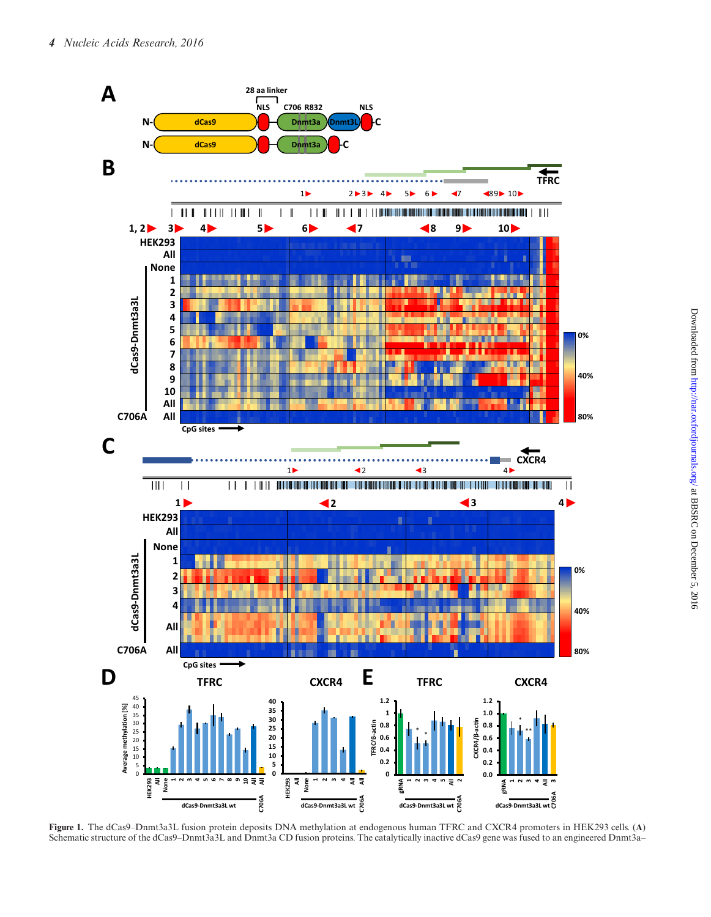<span id="page-3-0"></span>

**Figure 1.** The dCas9–Dnmt3a3L fusion protein deposits DNA methylation at endogenous human TFRC and CXCR4 promoters in HEK293 cells. (**A**) Schematic structure of the dCas9–Dnmt3a3L and Dnmt3a CD fusion proteins. The catalytically inactive dCas9 gene was fused to an engineered Dnmt3a–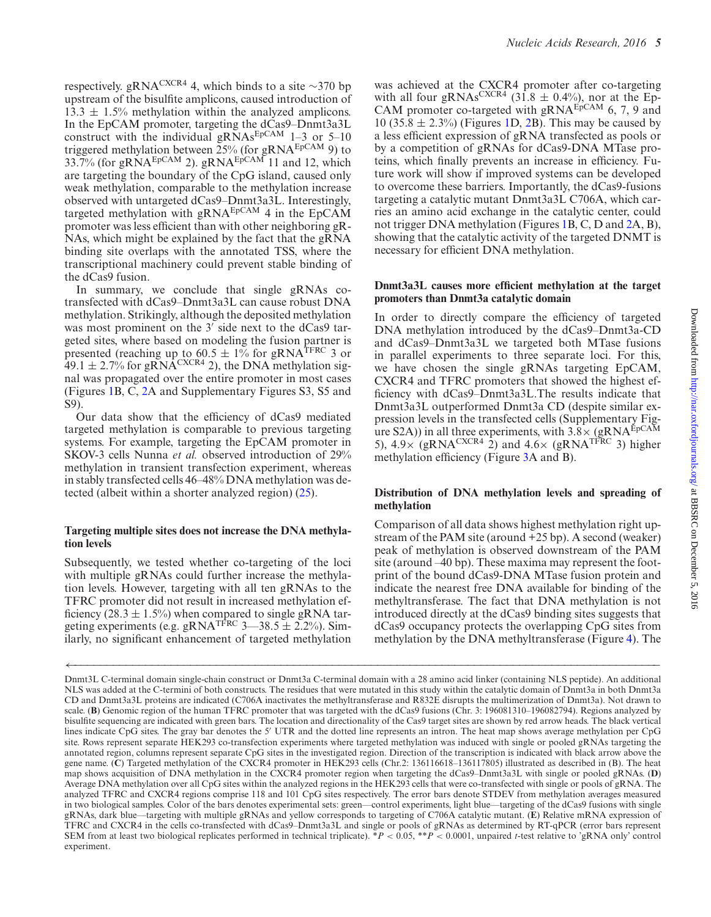respectively. gRNACXCR4 4, which binds to a site <sup>∼</sup>370 bp upstream of the bisulfite amplicons, caused introduction of  $13.3 \pm 1.5\%$  methylation within the analyzed amplicons. In the EpCAM promoter, targeting the dCas9–Dnmt3a3L construct with the individual  $g\overline{RNAs}^{EpCAM}$  1–3 or 5–10 triggered methylation between  $25%$  (for gRNA<sup>EpCAM</sup> 9) to 33.7% (for gRNA<sup>EpCAM</sup> 2). gRNA<sup>EpCAM</sup> 11 and 12, which are targeting the boundary of the CpG island, caused only weak methylation, comparable to the methylation increase observed with untargeted dCas9–Dnmt3a3L. Interestingly, targeted methylation with  $gRNA<sup>EpCAM</sup>$  4 in the EpCAM promoter was less efficient than with other neighboring gR-NAs, which might be explained by the fact that the gRNA binding site overlaps with the annotated TSS, where the transcriptional machinery could prevent stable binding of the dCas9 fusion.

In summary, we conclude that single gRNAs cotransfected with dCas9–Dnmt3a3L can cause robust DNA methylation. Strikingly, although the deposited methylation was most prominent on the  $3'$  side next to the dCas9 targeted sites, where based on modeling the fusion partner is presented (reaching up to  $60.5 \pm 1\%$  for gRNA<sup>TFRC</sup> 3 or 49.1  $\pm$  2.7% for gRNA<sup>CXCR4</sup> 2), the DNA methylation signal was propagated over the entire promoter in most cases (Figures [1B](#page-3-0), C, [2A](#page-5-0) and Supplementary Figures S3, S5 and S9).

Our data show that the efficiency of dCas9 mediated targeted methylation is comparable to previous targeting systems. For example, targeting the EpCAM promoter in SKOV-3 cells Nunna *et al.* observed introduction of 29% methylation in transient transfection experiment, whereas in stably transfected cells 46–48% DNA methylation was detected (albeit within a shorter analyzed region) [\(25\)](#page-10-0).

## **Targeting multiple sites does not increase the DNA methylation levels**

Subsequently, we tested whether co-targeting of the loci with multiple gRNAs could further increase the methylation levels. However, targeting with all ten gRNAs to the TFRC promoter did not result in increased methylation efficiency (28.3  $\pm$  1.5%) when compared to single gRNA targeting experiments (e.g. gRNA<sup>TFRC</sup> 3—38.5 ± 2.2%). Similarly, no significant enhancement of targeted methylation was achieved at the CXCR4 promoter after co-targeting with all four gRNAs<sup>CXCR4</sup> (31.8  $\pm$  0.4%), nor at the Ep-CAM promoter co-targeted with  $\alpha$ RNA<sup>EpCAM</sup> 6, 7, 9 and 10 (35.8  $\pm$  2.3%) (Figures [1D](#page-3-0), [2B](#page-5-0)). This may be caused by a less efficient expression of gRNA transfected as pools or by a competition of gRNAs for dCas9-DNA MTase proteins, which finally prevents an increase in efficiency. Future work will show if improved systems can be developed to overcome these barriers. Importantly, the dCas9-fusions targeting a catalytic mutant Dnmt3a3L C706A, which carries an amino acid exchange in the catalytic center, could not trigger DNA methylation (Figures [1B](#page-3-0), C, D and [2A](#page-5-0), B), showing that the catalytic activity of the targeted DNMT is necessary for efficient DNA methylation.

#### **Dnmt3a3L causes more efficient methylation at the target promoters than Dnmt3a catalytic domain**

In order to directly compare the efficiency of targeted DNA methylation introduced by the dCas9–Dnmt3a-CD and dCas9–Dnmt3a3L we targeted both MTase fusions in parallel experiments to three separate loci. For this, we have chosen the single gRNAs targeting EpCAM, CXCR4 and TFRC promoters that showed the highest efficiency with dCas9–Dnmt3a3L.The results indicate that Dnmt3a3L outperformed Dnmt3a CD (despite similar expression levels in the transfected cells (Supplementary Figure S2A)) in all three experiments, with  $3.8\times$  (gRNA<sup>EpCAM</sup>) 5),  $4.9 \times (gRNA^{CXCR4} \, \tilde{2})$  and  $4.6 \times (gRNA^{TFRC} \, \tilde{3})$  higher methylation efficiency (Figure [3A](#page-6-0) and B).

#### **Distribution of DNA methylation levels and spreading of methylation**

Comparison of all data shows highest methylation right upstream of the PAM site (around +25 bp). A second (weaker) peak of methylation is observed downstream of the PAM site (around –40 bp). These maxima may represent the footprint of the bound dCas9-DNA MTase fusion protein and indicate the nearest free DNA available for binding of the methyltransferase. The fact that DNA methylation is not introduced directly at the dCas9 binding sites suggests that dCas9 occupancy protects the overlapping CpG sites from methylation by the DNA methyltransferase (Figure [4\)](#page-7-0). The

<sup>←−−−−−−−−−−−−−−−−−−−−−−−−−−−−−−−−−−−−−−−−−−−−−−−−−−−−−−−−−−−−−−−−−−−−−−−−−−−−−−−−−−−−−−−−−−−</sup> Dnmt3L C-terminal domain single-chain construct or Dnmt3a C-terminal domain with a 28 amino acid linker (containing NLS peptide). An additional NLS was added at the C-termini of both constructs. The residues that were mutated in this study within the catalytic domain of Dnmt3a in both Dnmt3a CD and Dnmt3a3L proteins are indicated (C706A inactivates the methyltransferase and R832E disrupts the multimerization of Dnmt3a). Not drawn to scale. (**B**) Genomic region of the human TFRC promoter that was targeted with the dCas9 fusions (Chr. 3: 196081310–196082794). Regions analyzed by bisulfite sequencing are indicated with green bars. The location and directionality of the Cas9 target sites are shown by red arrow heads. The black vertical lines indicate CpG sites. The gray bar denotes the 5' UTR and the dotted line represents an intron. The heat map shows average methylation per CpG site. Rows represent separate HEK293 co-transfection experiments where targeted methylation was induced with single or pooled gRNAs targeting the annotated region, columns represent separate CpG sites in the investigated region. Direction of the transcription is indicated with black arrow above the gene name. (**C**) Targeted methylation of the CXCR4 promoter in HEK293 cells (Chr.2: 136116618–136117805) illustrated as described in (B). The heat map shows acquisition of DNA methylation in the CXCR4 promoter region when targeting the dCas9–Dnmt3a3L with single or pooled gRNAs. (**D**) Average DNA methylation over all CpG sites within the analyzed regions in the HEK293 cells that were co-transfected with single or pools of gRNA. The analyzed TFRC and CXCR4 regions comprise 118 and 101 CpG sites respectively. The error bars denote STDEV from methylation averages measured in two biological samples. Color of the bars denotes experimental sets: green––control experiments, light blue––targeting of the dCas9 fusions with single gRNAs, dark blue––targeting with multiple gRNAs and yellow corresponds to targeting of C706A catalytic mutant. (**E**) Relative mRNA expression of TFRC and CXCR4 in the cells co-transfected with dCas9–Dnmt3a3L and single or pools of gRNAs as determined by RT-qPCR (error bars represent SEM from at least two biological replicates performed in technical triplicate). \**P* < 0.05, \*\**P* < 0.0001, unpaired *t*-test relative to 'gRNA only' control experiment.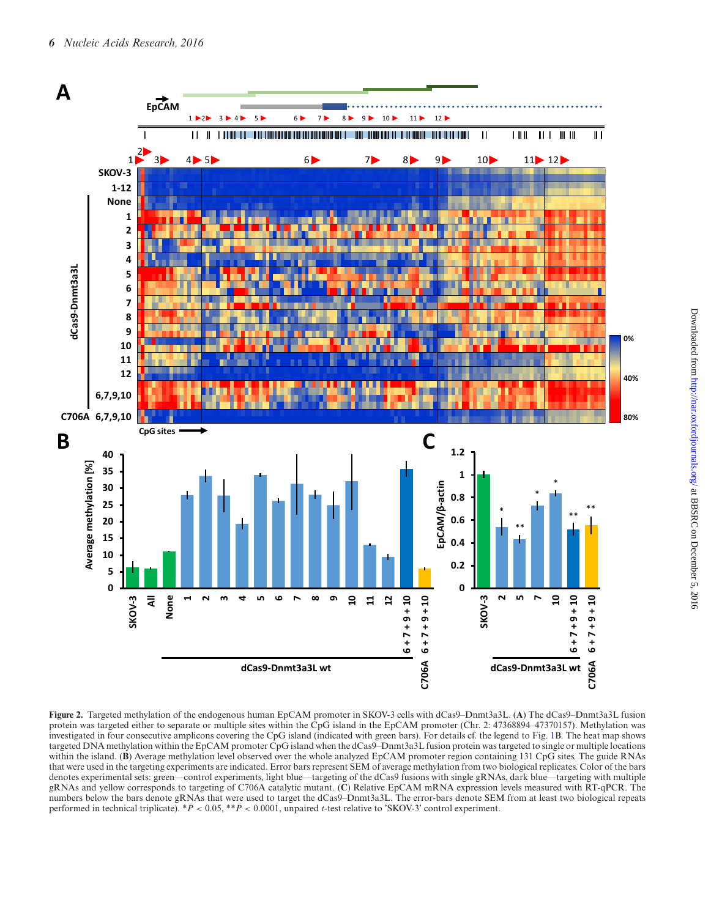<span id="page-5-0"></span>

**Figure 2.** Targeted methylation of the endogenous human EpCAM promoter in SKOV-3 cells with dCas9–Dnmt3a3L. (**A**) The dCas9–Dnmt3a3L fusion protein was targeted either to separate or multiple sites within the CpG island in the EpCAM promoter (Chr. 2: 47368894–47370157). Methylation was investigated in four consecutive amplicons covering the CpG island (indicated with green bars). For details cf. the legend to Fig. [1B](#page-3-0). The heat map shows targeted DNA methylation within the EpCAM promoter CpG island when the dCas9–Dnmt3a3L fusion protein was targeted to single or multiple locations within the island. (**B**) Average methylation level observed over the whole analyzed EpCAM promoter region containing 131 CpG sites. The guide RNAs that were used in the targeting experiments are indicated. Error bars represent SEM of average methylation from two biological replicates. Color of the bars denotes experimental sets: green––control experiments, light blue––targeting of the dCas9 fusions with single gRNAs, dark blue––targeting with multiple gRNAs and yellow corresponds to targeting of C706A catalytic mutant. (**C**) Relative EpCAM mRNA expression levels measured with RT-qPCR. The numbers below the bars denote gRNAs that were used to target the dCas9–Dnmt3a3L. The error-bars denote SEM from at least two biological repeats performed in technical triplicate). \**P* < 0.05, \*\**P* < 0.0001, unpaired *t*-test relative to 'SKOV-3' control experiment.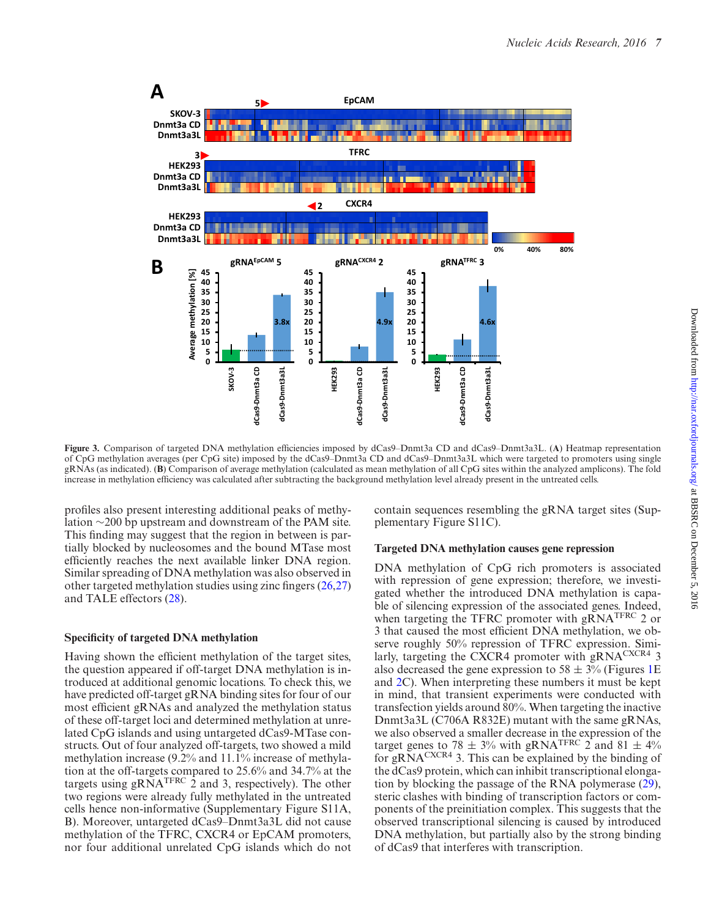<span id="page-6-0"></span>

**Figure 3.** Comparison of targeted DNA methylation efficiencies imposed by dCas9–Dnmt3a CD and dCas9–Dnmt3a3L. (**A**) Heatmap representation of CpG methylation averages (per CpG site) imposed by the dCas9–Dnmt3a CD and dCas9–Dnmt3a3L which were targeted to promoters using single gRNAs (as indicated). (**B**) Comparison of average methylation (calculated as mean methylation of all CpG sites within the analyzed amplicons). The fold increase in methylation efficiency was calculated after subtracting the background methylation level already present in the untreated cells.

profiles also present interesting additional peaks of methylation ∼200 bp upstream and downstream of the PAM site. This finding may suggest that the region in between is partially blocked by nucleosomes and the bound MTase most efficiently reaches the next available linker DNA region. Similar spreading of DNA methylation was also observed in other targeted methylation studies using zinc fingers [\(26,27\)](#page-10-0) and TALE effectors [\(28\)](#page-10-0).

#### **Specificity of targeted DNA methylation**

Having shown the efficient methylation of the target sites, the question appeared if off-target DNA methylation is introduced at additional genomic locations. To check this, we have predicted off-target gRNA binding sites for four of our most efficient gRNAs and analyzed the methylation status of these off-target loci and determined methylation at unrelated CpG islands and using untargeted dCas9-MTase constructs. Out of four analyzed off-targets, two showed a mild methylation increase (9.2% and 11.1% increase of methylation at the off-targets compared to 25.6% and 34.7% at the targets using  $gR\tilde{N}A^{TFRC}$  2 and 3, respectively). The other two regions were already fully methylated in the untreated cells hence non-informative (Supplementary Figure S11A, B). Moreover, untargeted dCas9–Dnmt3a3L did not cause methylation of the TFRC, CXCR4 or EpCAM promoters, nor four additional unrelated CpG islands which do not contain sequences resembling the gRNA target sites (Supplementary Figure S11C).

#### **Targeted DNA methylation causes gene repression**

DNA methylation of CpG rich promoters is associated with repression of gene expression; therefore, we investigated whether the introduced DNA methylation is capable of silencing expression of the associated genes. Indeed, when targeting the TFRC promoter with gRNATFRC 2 or 3 that caused the most efficient DNA methylation, we observe roughly 50% repression of TFRC expression. Similarly, targeting the CXCR4 promoter with gRNACXCR4 3 also decreased the gene expression to  $58 \pm 3\%$  (Figures [1E](#page-3-0)) and [2C](#page-5-0)). When interpreting these numbers it must be kept in mind, that transient experiments were conducted with transfection yields around 80%. When targeting the inactive Dnmt3a3L (C706A R832E) mutant with the same gRNAs, we also observed a smaller decrease in the expression of the target genes to 78  $\pm$  3% with gRNA<sup>TFRC</sup> 2 and 81  $\pm$  4% for gRNACXCR4 3. This can be explained by the binding of the dCas9 protein, which can inhibit transcriptional elongation by blocking the passage of the RNA polymerase [\(29\)](#page-10-0), steric clashes with binding of transcription factors or components of the preinitiation complex. This suggests that the observed transcriptional silencing is caused by introduced DNA methylation, but partially also by the strong binding of dCas9 that interferes with transcription.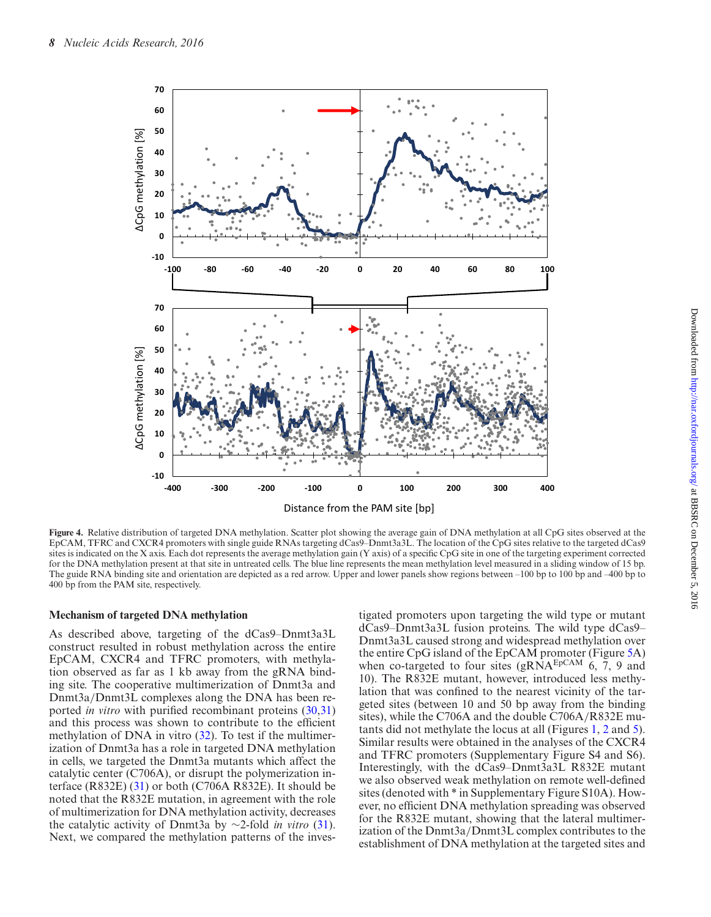<span id="page-7-0"></span>

**Figure 4.** Relative distribution of targeted DNA methylation. Scatter plot showing the average gain of DNA methylation at all CpG sites observed at the EpCAM, TFRC and CXCR4 promoters with single guide RNAs targeting dCas9–Dnmt3a3L. The location of the CpG sites relative to the targeted dCas9 sites is indicated on the X axis. Each dot represents the average methylation gain (Y axis) of a specific CpG site in one of the targeting experiment corrected for the DNA methylation present at that site in untreated cells. The blue line represents the mean methylation level measured in a sliding window of 15 bp. The guide RNA binding site and orientation are depicted as a red arrow. Upper and lower panels show regions between –100 bp to 100 bp and –400 bp to 400 bp from the PAM site, respectively.

#### **Mechanism of targeted DNA methylation**

As described above, targeting of the dCas9–Dnmt3a3L construct resulted in robust methylation across the entire EpCAM, CXCR4 and TFRC promoters, with methylation observed as far as 1 kb away from the gRNA binding site. The cooperative multimerization of Dnmt3a and Dnmt3a/Dnmt3L complexes along the DNA has been reported *in vitro* with purified recombinant proteins [\(30,31\)](#page-10-0) and this process was shown to contribute to the efficient methylation of DNA in vitro [\(32\)](#page-10-0). To test if the multimerization of Dnmt3a has a role in targeted DNA methylation in cells, we targeted the Dnmt3a mutants which affect the catalytic center (C706A), or disrupt the polymerization interface  $(R832E)$   $(31)$  or both  $(C706A R832E)$ . It should be noted that the R832E mutation, in agreement with the role of multimerization for DNA methylation activity, decreases the catalytic activity of Dnmt3a by ∼2-fold *in vitro* [\(31\)](#page-10-0). Next, we compared the methylation patterns of the inves-

tigated promoters upon targeting the wild type or mutant dCas9–Dnmt3a3L fusion proteins. The wild type dCas9– Dnmt3a3L caused strong and widespread methylation over the entire CpG island of the EpCAM promoter (Figure [5A](#page-8-0)) when co-targeted to four sites ( $gRNA<sup>EpCAM</sup>$  6, 7, 9 and 10). The R832E mutant, however, introduced less methylation that was confined to the nearest vicinity of the targeted sites (between 10 and 50 bp away from the binding sites), while the C706A and the double C706A/R832E mutants did not methylate the locus at all (Figures [1,](#page-3-0) [2](#page-5-0) and [5\)](#page-8-0). Similar results were obtained in the analyses of the CXCR4 and TFRC promoters (Supplementary Figure S4 and S6). Interestingly, with the dCas9–Dnmt3a3L R832E mutant we also observed weak methylation on remote well-defined sites (denoted with \* in Supplementary Figure S10A). However, no efficient DNA methylation spreading was observed for the R832E mutant, showing that the lateral multimerization of the Dnmt3a/Dnmt3L complex contributes to the establishment of DNA methylation at the targeted sites and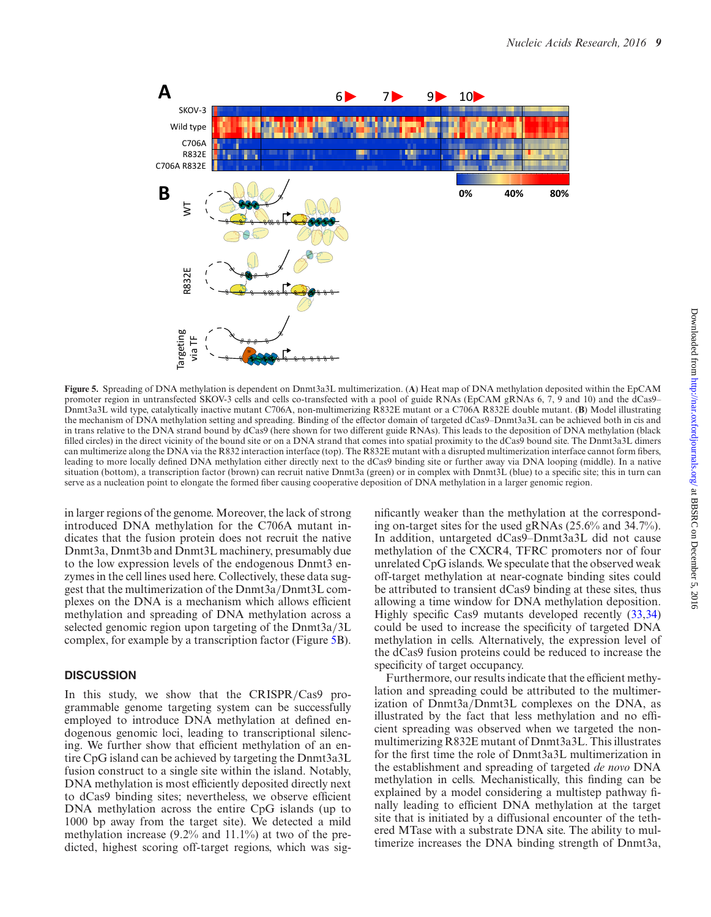<span id="page-8-0"></span>

**Figure 5.** Spreading of DNA methylation is dependent on Dnmt3a3L multimerization. (**A**) Heat map of DNA methylation deposited within the EpCAM promoter region in untransfected SKOV-3 cells and cells co-transfected with a pool of guide RNAs (EpCAM gRNAs 6, 7, 9 and 10) and the dCas9– Dnmt3a3L wild type, catalytically inactive mutant C706A, non-multimerizing R832E mutant or a C706A R832E double mutant. (**B**) Model illustrating the mechanism of DNA methylation setting and spreading. Binding of the effector domain of targeted dCas9–Dnmt3a3L can be achieved both in cis and in trans relative to the DNA strand bound by dCas9 (here shown for two different guide RNAs). This leads to the deposition of DNA methylation (black filled circles) in the direct vicinity of the bound site or on a DNA strand that comes into spatial proximity to the dCas9 bound site. The Dnmt3a3L dimers can multimerize along the DNA via the R832 interaction interface (top). The R832E mutant with a disrupted multimerization interface cannot form fibers, leading to more locally defined DNA methylation either directly next to the dCas9 binding site or further away via DNA looping (middle). In a native situation (bottom), a transcription factor (brown) can recruit native Dnmt3a (green) or in complex with Dnmt3L (blue) to a specific site; this in turn can serve as a nucleation point to elongate the formed fiber causing cooperative deposition of DNA methylation in a larger genomic region.

in larger regions of the genome. Moreover, the lack of strong introduced DNA methylation for the C706A mutant indicates that the fusion protein does not recruit the native Dnmt3a, Dnmt3b and Dnmt3L machinery, presumably due to the low expression levels of the endogenous Dnmt3 enzymes in the cell lines used here. Collectively, these data suggest that the multimerization of the Dnmt3a/Dnmt3L complexes on the DNA is a mechanism which allows efficient methylation and spreading of DNA methylation across a selected genomic region upon targeting of the Dnmt3a/3L complex, for example by a transcription factor (Figure 5B).

#### **DISCUSSION**

In this study, we show that the CRISPR/Cas9 programmable genome targeting system can be successfully employed to introduce DNA methylation at defined endogenous genomic loci, leading to transcriptional silencing. We further show that efficient methylation of an entire CpG island can be achieved by targeting the Dnmt3a3L fusion construct to a single site within the island. Notably, DNA methylation is most efficiently deposited directly next to dCas9 binding sites; nevertheless, we observe efficient DNA methylation across the entire CpG islands (up to 1000 bp away from the target site). We detected a mild methylation increase (9.2% and 11.1%) at two of the predicted, highest scoring off-target regions, which was significantly weaker than the methylation at the corresponding on-target sites for the used gRNAs (25.6% and 34.7%). In addition, untargeted dCas9–Dnmt3a3L did not cause methylation of the CXCR4, TFRC promoters nor of four unrelated CpG islands. We speculate that the observed weak off-target methylation at near-cognate binding sites could be attributed to transient dCas9 binding at these sites, thus allowing a time window for DNA methylation deposition. Highly specific Cas9 mutants developed recently [\(33,34\)](#page-10-0) could be used to increase the specificity of targeted DNA methylation in cells. Alternatively, the expression level of the dCas9 fusion proteins could be reduced to increase the specificity of target occupancy.

Furthermore, our results indicate that the efficient methylation and spreading could be attributed to the multimerization of Dnmt3a/Dnmt3L complexes on the DNA, as illustrated by the fact that less methylation and no efficient spreading was observed when we targeted the nonmultimerizing R832E mutant of Dnmt3a3L. This illustrates for the first time the role of Dnmt3a3L multimerization in the establishment and spreading of targeted *de novo* DNA methylation in cells. Mechanistically, this finding can be explained by a model considering a multistep pathway finally leading to efficient DNA methylation at the target site that is initiated by a diffusional encounter of the tethered MTase with a substrate DNA site. The ability to multimerize increases the DNA binding strength of Dnmt3a,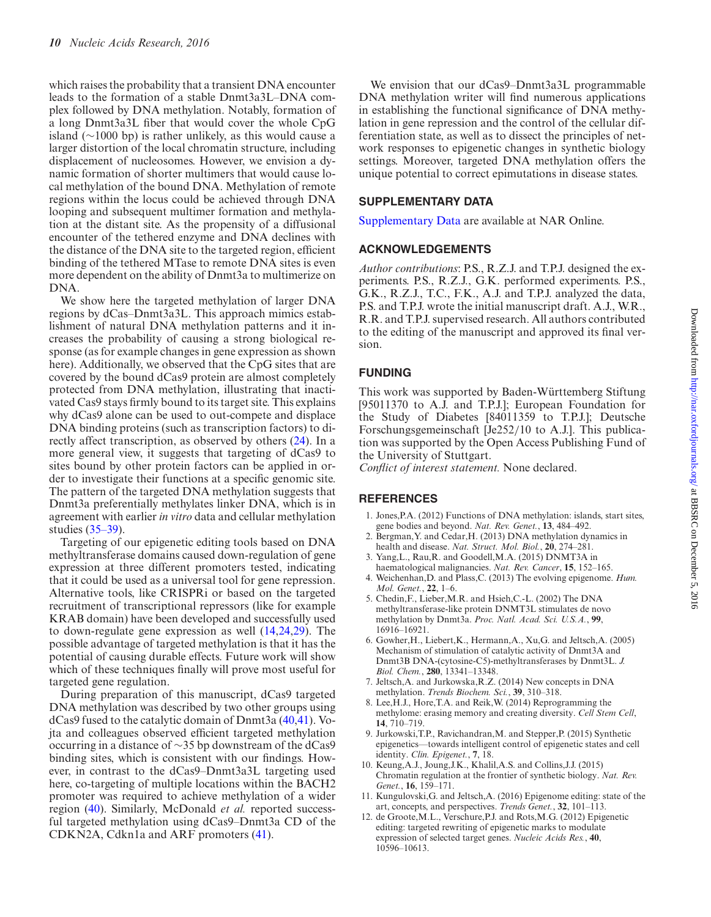<span id="page-9-0"></span>which raises the probability that a transient DNA encounter leads to the formation of a stable Dnmt3a3L–DNA complex followed by DNA methylation. Notably, formation of a long Dnmt3a3L fiber that would cover the whole CpG island (∼1000 bp) is rather unlikely, as this would cause a larger distortion of the local chromatin structure, including displacement of nucleosomes. However, we envision a dynamic formation of shorter multimers that would cause local methylation of the bound DNA. Methylation of remote regions within the locus could be achieved through DNA looping and subsequent multimer formation and methylation at the distant site. As the propensity of a diffusional encounter of the tethered enzyme and DNA declines with the distance of the DNA site to the targeted region, efficient binding of the tethered MTase to remote DNA sites is even more dependent on the ability of Dnmt3a to multimerize on DNA.

We show here the targeted methylation of larger DNA regions by dCas–Dnmt3a3L. This approach mimics establishment of natural DNA methylation patterns and it increases the probability of causing a strong biological response (as for example changes in gene expression as shown here). Additionally, we observed that the CpG sites that are covered by the bound dCas9 protein are almost completely protected from DNA methylation, illustrating that inactivated Cas9 stays firmly bound to its target site. This explains why dCas9 alone can be used to out-compete and displace DNA binding proteins (such as transcription factors) to directly affect transcription, as observed by others [\(24\)](#page-10-0). In a more general view, it suggests that targeting of dCas9 to sites bound by other protein factors can be applied in order to investigate their functions at a specific genomic site. The pattern of the targeted DNA methylation suggests that Dnmt3a preferentially methylates linker DNA, which is in agreement with earlier *in vitro* data and cellular methylation studies [\(35–39\)](#page-10-0).

Targeting of our epigenetic editing tools based on DNA methyltransferase domains caused down-regulation of gene expression at three different promoters tested, indicating that it could be used as a universal tool for gene repression. Alternative tools, like CRISPRi or based on the targeted recruitment of transcriptional repressors (like for example KRAB domain) have been developed and successfully used to down-regulate gene expression as well [\(14,24,29\)](#page-10-0). The possible advantage of targeted methylation is that it has the potential of causing durable effects. Future work will show which of these techniques finally will prove most useful for targeted gene regulation.

During preparation of this manuscript, dCas9 targeted DNA methylation was described by two other groups using dCas9 fused to the catalytic domain of Dnmt3a [\(40,41\)](#page-10-0). Vojta and colleagues observed efficient targeted methylation occurring in a distance of ∼35 bp downstream of the dCas9 binding sites, which is consistent with our findings. However, in contrast to the dCas9–Dnmt3a3L targeting used here, co-targeting of multiple locations within the BACH2 promoter was required to achieve methylation of a wider region [\(40\)](#page-10-0). Similarly, McDonald *et al.* reported successful targeted methylation using dCas9–Dnmt3a CD of the CDKN2A, Cdkn1a and ARF promoters [\(41\)](#page-10-0).

We envision that our dCas9–Dnmt3a3L programmable DNA methylation writer will find numerous applications in establishing the functional significance of DNA methylation in gene repression and the control of the cellular differentiation state, as well as to dissect the principles of network responses to epigenetic changes in synthetic biology settings. Moreover, targeted DNA methylation offers the unique potential to correct epimutations in disease states.

# **SUPPLEMENTARY DATA**

[Supplementary Data](http://nar.oxfordjournals.org/lookup/suppl/doi:10.1093/nar/gkw1112/-/DC1) are available at NAR Online.

#### **ACKNOWLEDGEMENTS**

*Author contributions*: P.S., R.Z.J. and T.P.J. designed the experiments. P.S., R.Z.J., G.K. performed experiments. P.S., G.K., R.Z.J., T.C., F.K., A.J. and T.P.J. analyzed the data, P.S. and T.P.J. wrote the initial manuscript draft. A.J., W.R., R.R. and T.P.J. supervised research. All authors contributed to the editing of the manuscript and approved its final version.

## **FUNDING**

This work was supported by Baden-Württemberg Stiftung [95011370 to A.J. and T.P.J.]; European Foundation for the Study of Diabetes [84011359 to T.P.J.]; Deutsche Forschungsgemeinschaft [Je252/10 to A.J.]. This publication was supported by the Open Access Publishing Fund of the University of Stuttgart.

*Conflict of interest statement.* None declared.

#### **REFERENCES**

- 1. Jones,P.A. (2012) Functions of DNA methylation: islands, start sites, gene bodies and beyond. *Nat. Rev. Genet.*, **13**, 484–492.
- 2. Bergman,Y. and Cedar,H. (2013) DNA methylation dynamics in health and disease. *Nat. Struct. Mol. Biol.*, **20**, 274–281.
- 3. Yang,L., Rau,R. and Goodell,M.A. (2015) DNMT3A in haematological malignancies. *Nat. Rev. Cancer*, **15**, 152–165.
- 4. Weichenhan,D. and Plass,C. (2013) The evolving epigenome. *Hum. Mol. Genet.*, **22**, 1–6.
- 5. Chedin,F., Lieber,M.R. and Hsieh,C.-L. (2002) The DNA methyltransferase-like protein DNMT3L stimulates de novo methylation by Dnmt3a. *Proc. Natl. Acad. Sci. U.S.A.*, **99**, 16916–16921.
- 6. Gowher,H., Liebert,K., Hermann,A., Xu,G. and Jeltsch,A. (2005) Mechanism of stimulation of catalytic activity of Dnmt3A and Dnmt3B DNA-(cytosine-C5)-methyltransferases by Dnmt3L. *J. Biol. Chem.*, **280**, 13341–13348.
- 7. Jeltsch,A. and Jurkowska,R.Z. (2014) New concepts in DNA methylation. *Trends Biochem. Sci.*, **39**, 310–318.
- 8. Lee,H.J., Hore,T.A. and Reik,W. (2014) Reprogramming the methylome: erasing memory and creating diversity. *Cell Stem Cell*, **14**, 710–719.
- 9. Jurkowski,T.P., Ravichandran,M. and Stepper,P. (2015) Synthetic epigenetics––towards intelligent control of epigenetic states and cell identity. *Clin. Epigenet.*, **7**, 18.
- 10. Keung,A.J., Joung,J.K., Khalil,A.S. and Collins,J.J. (2015) Chromatin regulation at the frontier of synthetic biology. *Nat. Rev. Genet.*, **16**, 159–171.
- 11. Kungulovski,G. and Jeltsch,A. (2016) Epigenome editing: state of the art, concepts, and perspectives. *Trends Genet.*, **32**, 101–113.
- 12. de Groote,M.L., Verschure,P.J. and Rots,M.G. (2012) Epigenetic editing: targeted rewriting of epigenetic marks to modulate expression of selected target genes. *Nucleic Acids Res.*, **40**, 10596–10613.